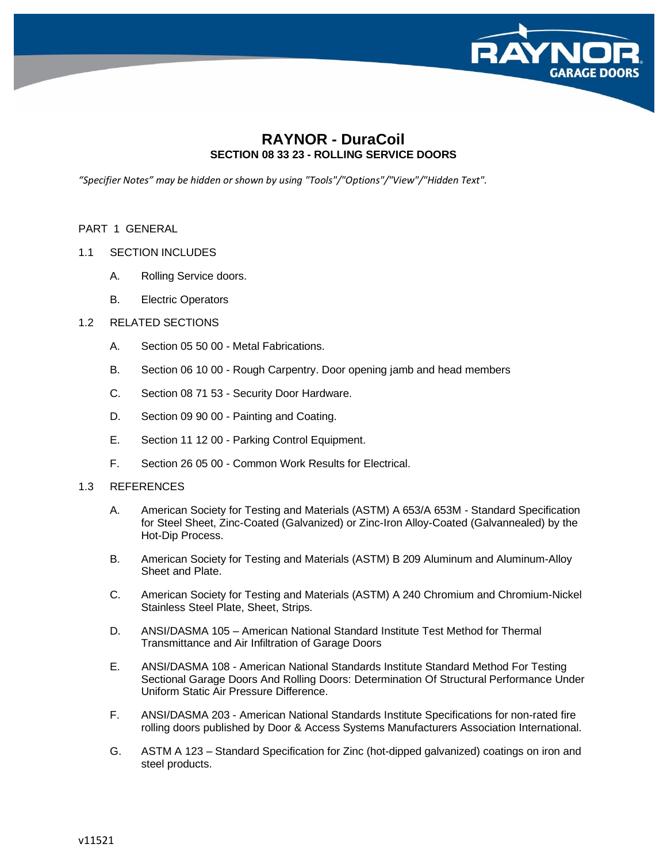

# **RAYNOR - DuraCoil SECTION 08 33 23 - ROLLING SERVICE DOORS**

*"Specifier Notes" may be hidden or shown by using "Tools"/"Options"/"View"/"Hidden Text".*

PART 1 GENERAL

- 1.1 SECTION INCLUDES
	- A. Rolling Service doors.
	- B. Electric Operators
- 1.2 RELATED SECTIONS
	- A. Section 05 50 00 Metal Fabrications.
	- B. Section 06 10 00 Rough Carpentry. Door opening jamb and head members
	- C. Section 08 71 53 Security Door Hardware.
	- D. Section 09 90 00 Painting and Coating.
	- E. Section 11 12 00 Parking Control Equipment.
	- F. Section 26 05 00 Common Work Results for Electrical.

### 1.3 REFERENCES

- A. American Society for Testing and Materials (ASTM) A 653/A 653M Standard Specification for Steel Sheet, Zinc-Coated (Galvanized) or Zinc-Iron Alloy-Coated (Galvannealed) by the Hot-Dip Process.
- B. American Society for Testing and Materials (ASTM) B 209 Aluminum and Aluminum-Alloy Sheet and Plate.
- C. American Society for Testing and Materials (ASTM) A 240 Chromium and Chromium-Nickel Stainless Steel Plate, Sheet, Strips.
- D. ANSI/DASMA 105 American National Standard Institute Test Method for Thermal Transmittance and Air Infiltration of Garage Doors
- E. ANSI/DASMA 108 American National Standards Institute Standard Method For Testing Sectional Garage Doors And Rolling Doors: Determination Of Structural Performance Under Uniform Static Air Pressure Difference.
- F. ANSI/DASMA 203 American National Standards Institute Specifications for non-rated fire rolling doors published by Door & Access Systems Manufacturers Association International.
- G. ASTM A 123 Standard Specification for Zinc (hot-dipped galvanized) coatings on iron and steel products.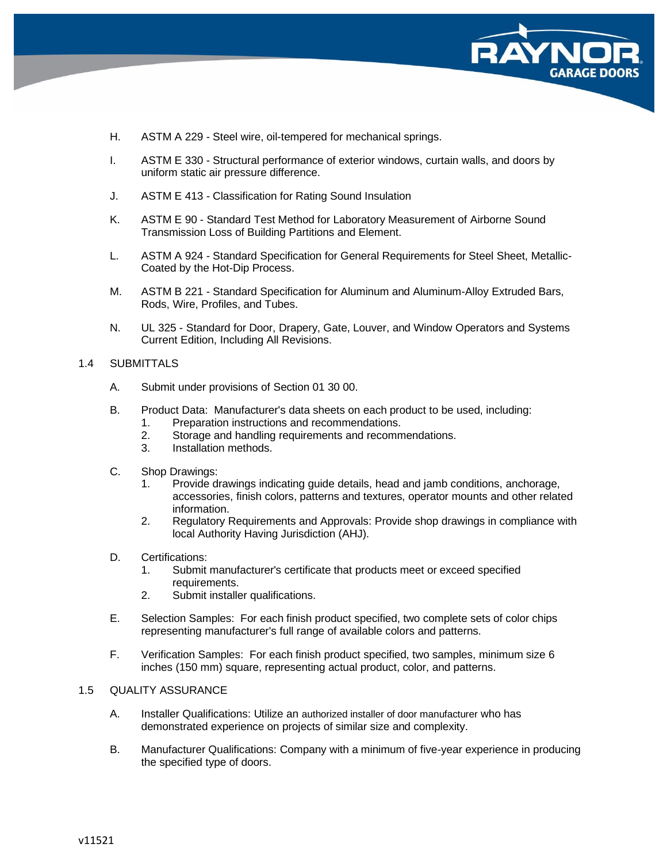

- H. ASTM A 229 Steel wire, oil-tempered for mechanical springs.
- I. ASTM E 330 Structural performance of exterior windows, curtain walls, and doors by uniform static air pressure difference.
- J. ASTM E 413 Classification for Rating Sound Insulation
- K. ASTM E 90 Standard Test Method for Laboratory Measurement of Airborne Sound Transmission Loss of Building Partitions and Element.
- L. ASTM A 924 Standard Specification for General Requirements for Steel Sheet, Metallic-Coated by the Hot-Dip Process.
- M. ASTM B 221 Standard Specification for Aluminum and Aluminum-Alloy Extruded Bars, Rods, Wire, Profiles, and Tubes.
- N. UL 325 Standard for Door, Drapery, Gate, Louver, and Window Operators and Systems Current Edition, Including All Revisions.

#### 1.4 SUBMITTALS

- A. Submit under provisions of Section 01 30 00.
- B. Product Data: Manufacturer's data sheets on each product to be used, including:
	- 1. Preparation instructions and recommendations.
	- 2. Storage and handling requirements and recommendations.
	- 3. Installation methods.
- C. Shop Drawings:
	- 1. Provide drawings indicating guide details, head and jamb conditions, anchorage, accessories, finish colors, patterns and textures, operator mounts and other related information.
	- 2. Regulatory Requirements and Approvals: Provide shop drawings in compliance with local Authority Having Jurisdiction (AHJ).
- D. Certifications:
	- 1. Submit manufacturer's certificate that products meet or exceed specified requirements.
	- 2. Submit installer qualifications.
- E. Selection Samples: For each finish product specified, two complete sets of color chips representing manufacturer's full range of available colors and patterns.
- F. Verification Samples: For each finish product specified, two samples, minimum size 6 inches (150 mm) square, representing actual product, color, and patterns.

### 1.5 QUALITY ASSURANCE

- A. Installer Qualifications: Utilize an authorized installer of door manufacturer who has demonstrated experience on projects of similar size and complexity.
- B. Manufacturer Qualifications: Company with a minimum of five-year experience in producing the specified type of doors.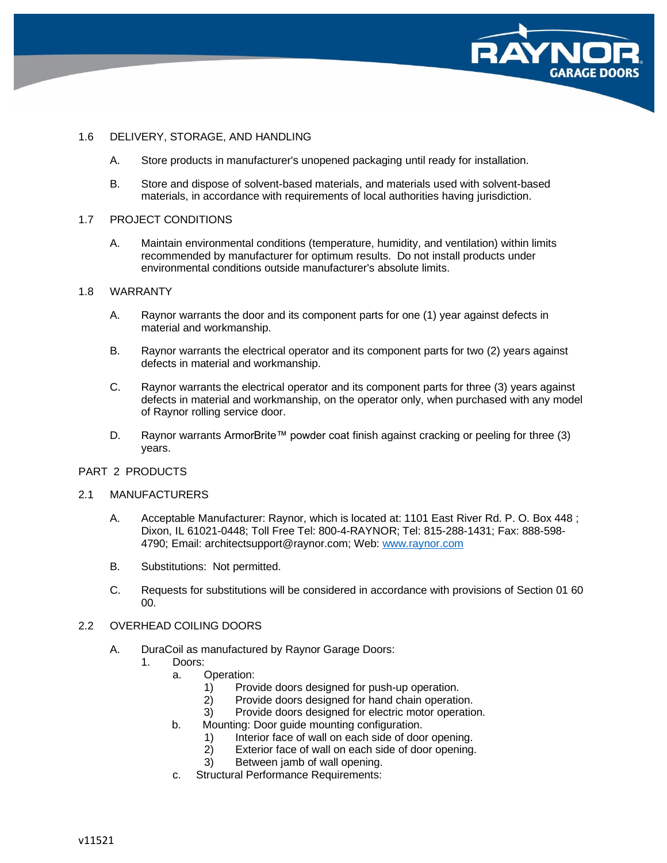

# 1.6 DELIVERY, STORAGE, AND HANDLING

- A. Store products in manufacturer's unopened packaging until ready for installation.
- B. Store and dispose of solvent-based materials, and materials used with solvent-based materials, in accordance with requirements of local authorities having jurisdiction.

### 1.7 PROJECT CONDITIONS

A. Maintain environmental conditions (temperature, humidity, and ventilation) within limits recommended by manufacturer for optimum results. Do not install products under environmental conditions outside manufacturer's absolute limits.

### 1.8 WARRANTY

- A. Raynor warrants the door and its component parts for one (1) year against defects in material and workmanship.
- B. Raynor warrants the electrical operator and its component parts for two (2) years against defects in material and workmanship.
- C. Raynor warrants the electrical operator and its component parts for three (3) years against defects in material and workmanship, on the operator only, when purchased with any model of Raynor rolling service door.
- D. Raynor warrants ArmorBrite™ powder coat finish against cracking or peeling for three (3) years.

# PART 2 PRODUCTS

# 2.1 MANUFACTURERS

- A. Acceptable Manufacturer: Raynor, which is located at: 1101 East River Rd. P. O. Box 448 ; Dixon, IL 61021-0448; Toll Free Tel: 800-4-RAYNOR; Tel: 815-288-1431; Fax: 888-598- 4790; Email: architectsupport@raynor.com; Web: [www.raynor.com](http://www.raynor.com/)
- B. Substitutions: Not permitted.
- C. Requests for substitutions will be considered in accordance with provisions of Section 01 60 00.

# 2.2 OVERHEAD COILING DOORS

- A. DuraCoil as manufactured by Raynor Garage Doors:
	- 1. Doors:
		- a. Operation:
			- 1) Provide doors designed for push-up operation.
			- 2) Provide doors designed for hand chain operation.
			- 3) Provide doors designed for electric motor operation.
		- b. Mounting: Door guide mounting configuration.
			- 1) Interior face of wall on each side of door opening.<br>2) Exterior face of wall on each side of door opening.
			- Exterior face of wall on each side of door opening.
			- 3) Between jamb of wall opening.
		- c. Structural Performance Requirements: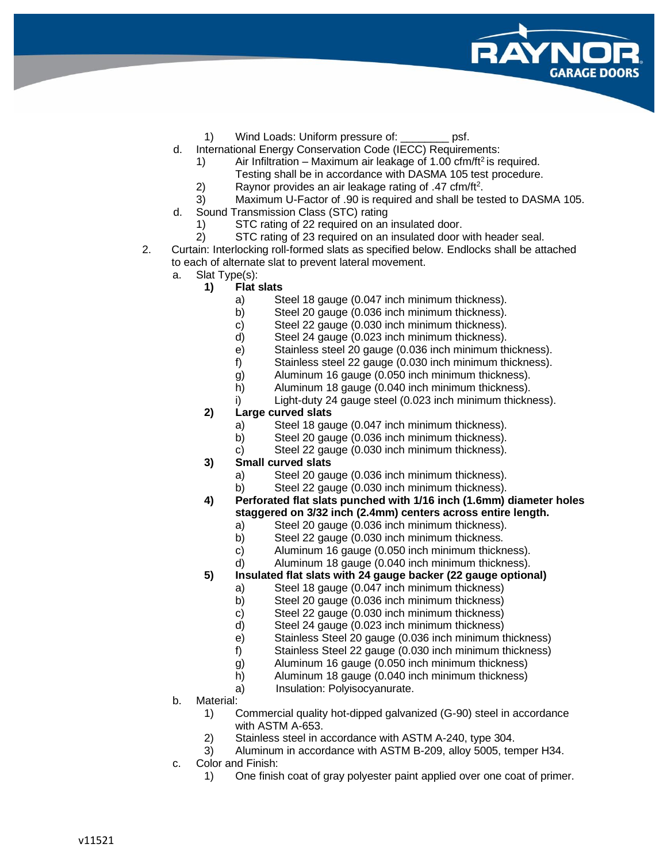

- 1) Wind Loads: Uniform pressure of: psf.
- d. International Energy Conservation Code (IECC) Requirements:
	- 1) Air Infiltration Maximum air leakage of 1.00 cfm/ft<sup>2</sup> is required.
	- Testing shall be in accordance with DASMA 105 test procedure.
	- 2) Raynor provides an air leakage rating of  $.47 \text{ cfm/ft}^2$ .
	- 3) Maximum U-Factor of .90 is required and shall be tested to DASMA 105.
- d. Sound Transmission Class (STC) rating
	- 1) STC rating of 22 required on an insulated door.
	- 2) STC rating of 23 required on an insulated door with header seal.

2. Curtain: Interlocking roll-formed slats as specified below. Endlocks shall be attached to each of alternate slat to prevent lateral movement.

- a. Slat Type(s):
	- **1) Flat slats**
		- a) Steel 18 gauge (0.047 inch minimum thickness).
		- b) Steel 20 gauge (0.036 inch minimum thickness).
		- c) Steel 22 gauge (0.030 inch minimum thickness).
		- d) Steel 24 gauge (0.023 inch minimum thickness).
		- e) Stainless steel 20 gauge (0.036 inch minimum thickness).
		- f) Stainless steel 22 gauge (0.030 inch minimum thickness).
		- g) Aluminum 16 gauge (0.050 inch minimum thickness).
		- h) Aluminum 18 gauge (0.040 inch minimum thickness).
		- i) Light-duty 24 gauge steel (0.023 inch minimum thickness).
	- **2) Large curved slats**
		- a) Steel 18 gauge (0.047 inch minimum thickness).
		- b) Steel 20 gauge (0.036 inch minimum thickness).
		- c) Steel 22 gauge (0.030 inch minimum thickness).
	- **3) Small curved slats**
		-
		- a) Steel 20 gauge (0.036 inch minimum thickness).<br>b) Steel 22 gauge (0.030 inch minimum thickness). Steel 22 gauge (0.030 inch minimum thickness).
	- **4) Perforated flat slats punched with 1/16 inch (1.6mm) diameter holes staggered on 3/32 inch (2.4mm) centers across entire length.**
		- a) Steel 20 gauge (0.036 inch minimum thickness).
		- b) Steel 22 gauge (0.030 inch minimum thickness.
		- c) Aluminum 16 gauge (0.050 inch minimum thickness).
		- d) Aluminum 18 gauge (0.040 inch minimum thickness).
	- **5) Insulated flat slats with 24 gauge backer (22 gauge optional)**
		- a) Steel 18 gauge (0.047 inch minimum thickness)
		- b) Steel 20 gauge (0.036 inch minimum thickness)
		- c) Steel 22 gauge (0.030 inch minimum thickness)
		- d) Steel 24 gauge (0.023 inch minimum thickness)
		- e) Stainless Steel 20 gauge (0.036 inch minimum thickness)
		- f) Stainless Steel 22 gauge (0.030 inch minimum thickness)
		- g) Aluminum 16 gauge (0.050 inch minimum thickness)
		- h) Aluminum 18 gauge (0.040 inch minimum thickness)
		- a) Insulation: Polyisocyanurate.
- b. Material:
	- 1) Commercial quality hot-dipped galvanized (G-90) steel in accordance with ASTM A-653.
	- 2) Stainless steel in accordance with ASTM A-240, type 304.
	- 3) Aluminum in accordance with ASTM B-209, alloy 5005, temper H34.
- c. Color and Finish:
	- 1) One finish coat of gray polyester paint applied over one coat of primer.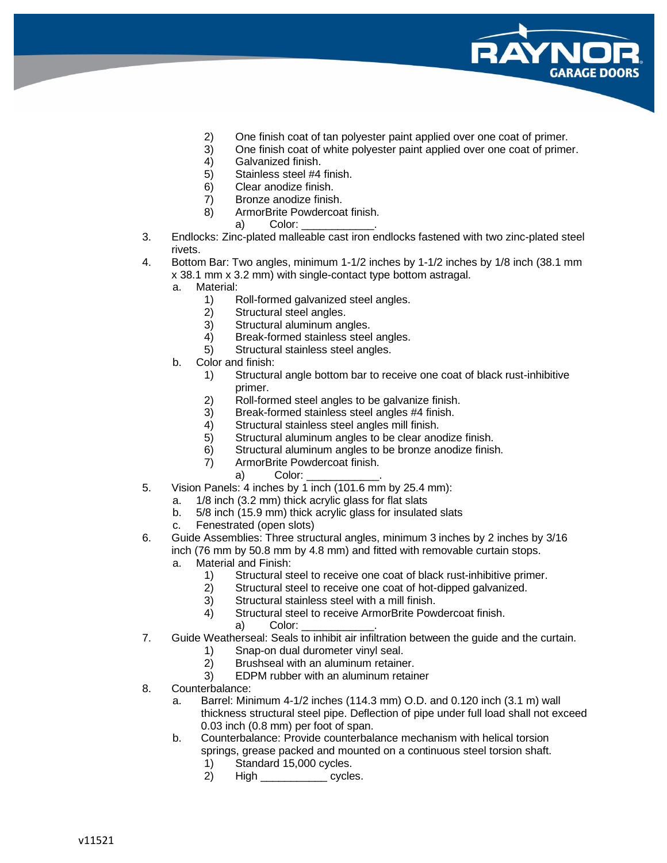

- 2) One finish coat of tan polyester paint applied over one coat of primer.
- 3) One finish coat of white polyester paint applied over one coat of primer.
- 4) Galvanized finish.<br>5) Stainless steel #4
- Stainless steel #4 finish.
- 6) Clear anodize finish.
- 7) Bronze anodize finish.
- 8) ArmorBrite Powdercoat finish.
	- a) Color:
- 3. Endlocks: Zinc-plated malleable cast iron endlocks fastened with two zinc-plated steel rivets.
- 4. Bottom Bar: Two angles, minimum 1-1/2 inches by 1-1/2 inches by 1/8 inch (38.1 mm x 38.1 mm x 3.2 mm) with single-contact type bottom astragal.
	- a. Material:
		- 1) Roll-formed galvanized steel angles.
		- 2) Structural steel angles.
		- 3) Structural aluminum angles.
		- 4) Break-formed stainless steel angles.
		- 5) Structural stainless steel angles.
	- b. Color and finish:
		- 1) Structural angle bottom bar to receive one coat of black rust-inhibitive primer.
		- 2) Roll-formed steel angles to be galvanize finish.
		- 3) Break-formed stainless steel angles #4 finish.
		- 4) Structural stainless steel angles mill finish.
		- 5) Structural aluminum angles to be clear anodize finish.
		- 6) Structural aluminum angles to be bronze anodize finish.
		- 7) ArmorBrite Powdercoat finish.
			- a) Color:
- 5. Vision Panels: 4 inches by 1 inch (101.6 mm by 25.4 mm):
	- a. 1/8 inch (3.2 mm) thick acrylic glass for flat slats
	- b. 5/8 inch (15.9 mm) thick acrylic glass for insulated slats
	- c. Fenestrated (open slots)
- 6. Guide Assemblies: Three structural angles, minimum 3 inches by 2 inches by 3/16 inch (76 mm by 50.8 mm by 4.8 mm) and fitted with removable curtain stops.
	- a. Material and Finish:
		- 1) Structural steel to receive one coat of black rust-inhibitive primer.
		- 2) Structural steel to receive one coat of hot-dipped galvanized.
		- 3) Structural stainless steel with a mill finish.
		- 4) Structural steel to receive ArmorBrite Powdercoat finish.
			- a) Color:
- 7. Guide Weatherseal: Seals to inhibit air infiltration between the guide and the curtain.
	- 1) Snap-on dual durometer vinyl seal.
	- 2) Brushseal with an aluminum retainer.
	- 3) EDPM rubber with an aluminum retainer
- 8. Counterbalance:
	- a. Barrel: Minimum 4-1/2 inches (114.3 mm) O.D. and 0.120 inch (3.1 m) wall thickness structural steel pipe. Deflection of pipe under full load shall not exceed 0.03 inch (0.8 mm) per foot of span.
	- b. Counterbalance: Provide counterbalance mechanism with helical torsion springs, grease packed and mounted on a continuous steel torsion shaft.
		- 1) Standard 15,000 cycles.
		- 2) High \_\_\_\_\_\_\_\_\_\_\_ cycles.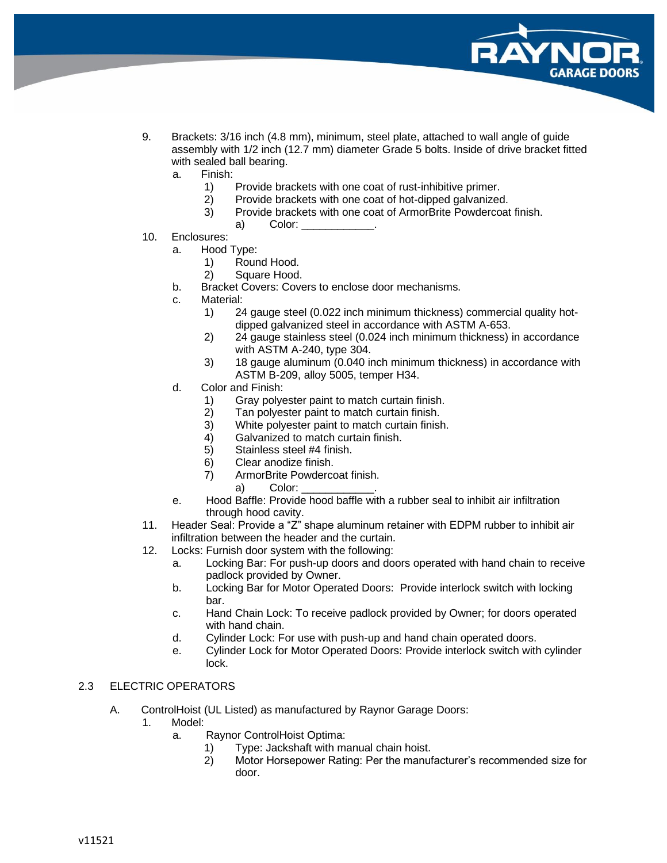

- 9. Brackets: 3/16 inch (4.8 mm), minimum, steel plate, attached to wall angle of guide assembly with 1/2 inch (12.7 mm) diameter Grade 5 bolts. Inside of drive bracket fitted with sealed ball bearing.
	- a. Finish:
		- 1) Provide brackets with one coat of rust-inhibitive primer.
		- 2) Provide brackets with one coat of hot-dipped galvanized.
		- 3) Provide brackets with one coat of ArmorBrite Powdercoat finish.
			- a) Color:
- 10. Enclosures:
	- a. Hood Type:
		- 1) Round Hood.
		- 2) Square Hood.
	- b. Bracket Covers: Covers to enclose door mechanisms.
	- c. Material:
		- 1) 24 gauge steel (0.022 inch minimum thickness) commercial quality hotdipped galvanized steel in accordance with ASTM A-653.
		- 2) 24 gauge stainless steel (0.024 inch minimum thickness) in accordance with ASTM A-240, type 304.
		- 3) 18 gauge aluminum (0.040 inch minimum thickness) in accordance with ASTM B-209, alloy 5005, temper H34.
	- d. Color and Finish:
		- 1) Gray polyester paint to match curtain finish.
		- 2) Tan polyester paint to match curtain finish.<br>3) White polyester paint to match curtain finish
		- White polyester paint to match curtain finish.
		- 4) Galvanized to match curtain finish.
		- 5) Stainless steel #4 finish.
		- 6) Clear anodize finish.
		- 7) ArmorBrite Powdercoat finish.
			- a) Color:
	- e. Hood Baffle: Provide hood baffle with a rubber seal to inhibit air infiltration through hood cavity.
- 11. Header Seal: Provide a "Z" shape aluminum retainer with EDPM rubber to inhibit air infiltration between the header and the curtain.
- 12. Locks: Furnish door system with the following:
	- a. Locking Bar: For push-up doors and doors operated with hand chain to receive padlock provided by Owner.
	- b. Locking Bar for Motor Operated Doors: Provide interlock switch with locking bar.
	- c. Hand Chain Lock: To receive padlock provided by Owner; for doors operated with hand chain.
	- d. Cylinder Lock: For use with push-up and hand chain operated doors.
	- e. Cylinder Lock for Motor Operated Doors: Provide interlock switch with cylinder lock.

# 2.3 ELECTRIC OPERATORS

- A. ControlHoist (UL Listed) as manufactured by Raynor Garage Doors:
	- 1. Model:
		- a. Raynor ControlHoist Optima:
			- 1) Type: Jackshaft with manual chain hoist.
			- 2) Motor Horsepower Rating: Per the manufacturer's recommended size for door.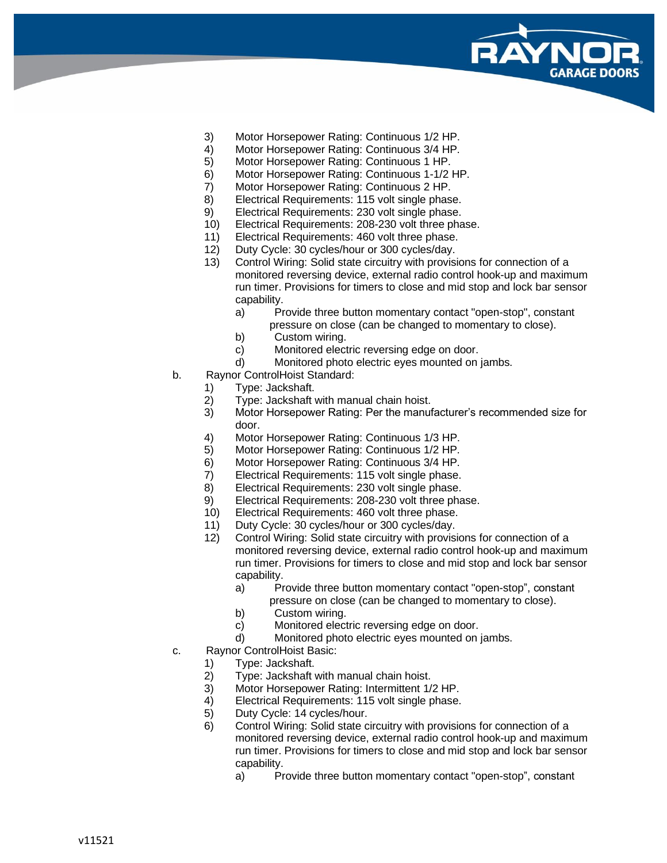

- 3) Motor Horsepower Rating: Continuous 1/2 HP.
- 4) Motor Horsepower Rating: Continuous 3/4 HP.
- 5) Motor Horsepower Rating: Continuous 1 HP.
- 6) Motor Horsepower Rating: Continuous 1-1/2 HP.
- 7) Motor Horsepower Rating: Continuous 2 HP.
- 8) Electrical Requirements: 115 volt single phase.
- 9) Electrical Requirements: 230 volt single phase.
- 10) Electrical Requirements: 208-230 volt three phase.
- 11) Electrical Requirements: 460 volt three phase.
- 12) Duty Cycle: 30 cycles/hour or 300 cycles/day.
- 13) Control Wiring: Solid state circuitry with provisions for connection of a monitored reversing device, external radio control hook-up and maximum run timer. Provisions for timers to close and mid stop and lock bar sensor capability.
	- a) Provide three button momentary contact "open-stop", constant pressure on close (can be changed to momentary to close).
	- b) Custom wiring.
	- c) Monitored electric reversing edge on door.
	- d) Monitored photo electric eyes mounted on jambs.
- b. Raynor ControlHoist Standard:
	- 1) Type: Jackshaft.
	- 2) Type: Jackshaft with manual chain hoist.
	- 3) Motor Horsepower Rating: Per the manufacturer's recommended size for door.
	- 4) Motor Horsepower Rating: Continuous 1/3 HP.
	- 5) Motor Horsepower Rating: Continuous 1/2 HP.
	- 6) Motor Horsepower Rating: Continuous 3/4 HP.
	- 7) Electrical Requirements: 115 volt single phase.
	- 8) Electrical Requirements: 230 volt single phase.
	- 9) Electrical Requirements: 208-230 volt three phase.
	- 10) Electrical Requirements: 460 volt three phase.
	- 11) Duty Cycle: 30 cycles/hour or 300 cycles/day.
	- 12) Control Wiring: Solid state circuitry with provisions for connection of a monitored reversing device, external radio control hook-up and maximum run timer. Provisions for timers to close and mid stop and lock bar sensor capability.
		- a) Provide three button momentary contact "open-stop", constant pressure on close (can be changed to momentary to close).
		- b) Custom wiring.
		- c) Monitored electric reversing edge on door.
		- d) Monitored photo electric eyes mounted on jambs.
- c. Raynor ControlHoist Basic:
	- 1) Type: Jackshaft.
	- 2) Type: Jackshaft with manual chain hoist.
	- 3) Motor Horsepower Rating: Intermittent 1/2 HP.
	- Electrical Requirements: 115 volt single phase.
	- 5) Duty Cycle: 14 cycles/hour.
	- 6) Control Wiring: Solid state circuitry with provisions for connection of a monitored reversing device, external radio control hook-up and maximum run timer. Provisions for timers to close and mid stop and lock bar sensor capability.
		- a) Provide three button momentary contact "open-stop", constant